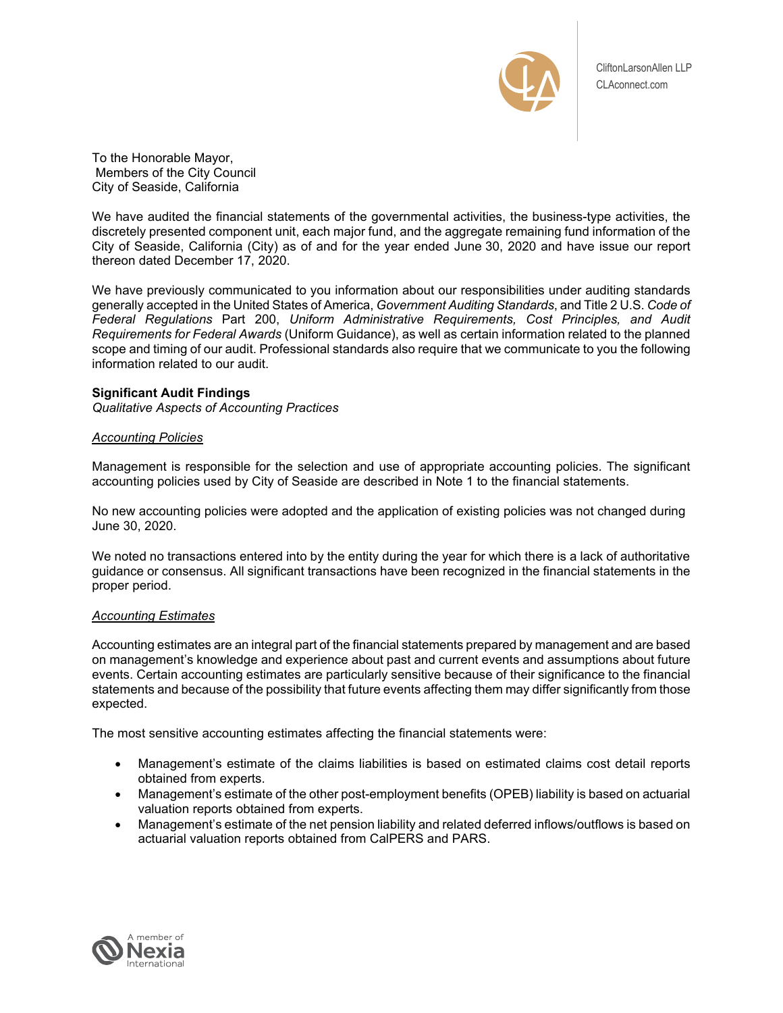

To the Honorable Mayor, Members of the City Council City of Seaside, California

We have audited the financial statements of the governmental activities, the business-type activities, the discretely presented component unit, each major fund, and the aggregate remaining fund information of the City of Seaside, California (City) as of and for the year ended June 30, 2020 and have issue our report thereon dated December 17, 2020.

We have previously communicated to you information about our responsibilities under auditing standards generally accepted in the United States of America, *Government Auditing Standards*, and Title 2 U.S. *Code of Federal Regulations* Part 200, *Uniform Administrative Requirements, Cost Principles, and Audit Requirements for Federal Awards* (Uniform Guidance), as well as certain information related to the planned scope and timing of our audit. Professional standards also require that we communicate to you the following information related to our audit.

# **Significant Audit Findings**

*Qualitative Aspects of Accounting Practices* 

# *Accounting Policies*

Management is responsible for the selection and use of appropriate accounting policies. The significant accounting policies used by City of Seaside are described in Note 1 to the financial statements.

No new accounting policies were adopted and the application of existing policies was not changed during June 30, 2020.

We noted no transactions entered into by the entity during the year for which there is a lack of authoritative guidance or consensus. All significant transactions have been recognized in the financial statements in the proper period.

## *Accounting Estimates*

Accounting estimates are an integral part of the financial statements prepared by management and are based on management's knowledge and experience about past and current events and assumptions about future events. Certain accounting estimates are particularly sensitive because of their significance to the financial statements and because of the possibility that future events affecting them may differ significantly from those expected.

The most sensitive accounting estimates affecting the financial statements were:

- Management's estimate of the claims liabilities is based on estimated claims cost detail reports obtained from experts.
- Management's estimate of the other post-employment benefits (OPEB) liability is based on actuarial valuation reports obtained from experts.
- Management's estimate of the net pension liability and related deferred inflows/outflows is based on actuarial valuation reports obtained from CalPERS and PARS.

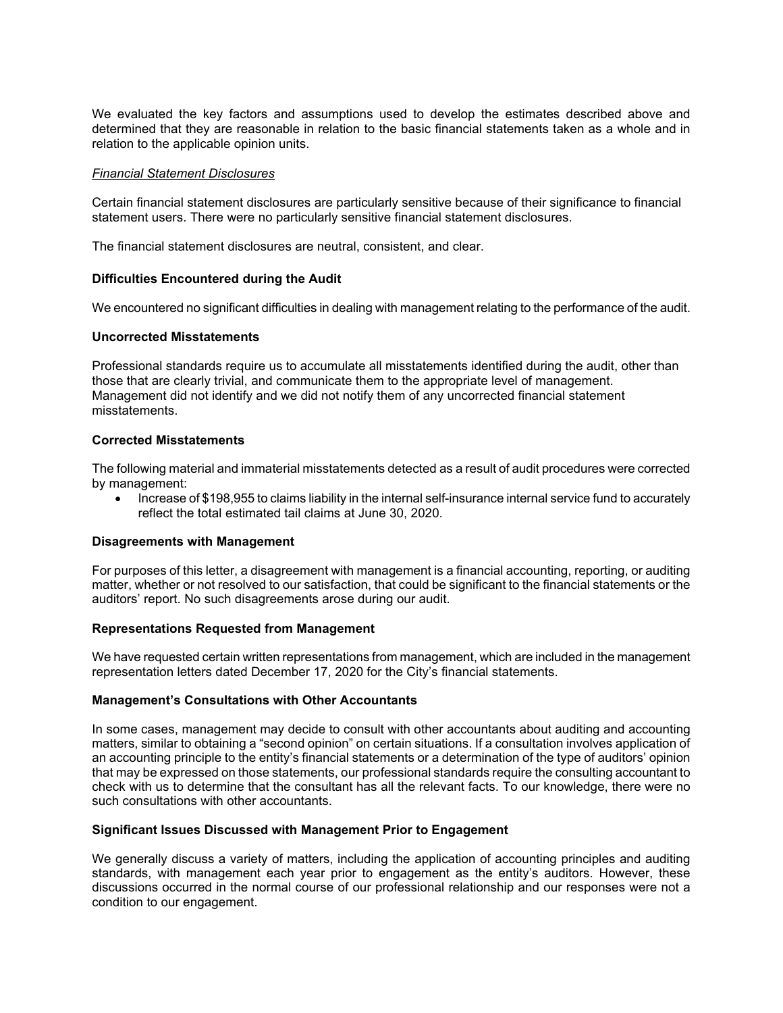We evaluated the key factors and assumptions used to develop the estimates described above and determined that they are reasonable in relation to the basic financial statements taken as a whole and in relation to the applicable opinion units.

## *Financial Statement Disclosures*

Certain financial statement disclosures are particularly sensitive because of their significance to financial statement users. There were no particularly sensitive financial statement disclosures.

The financial statement disclosures are neutral, consistent, and clear.

## **Difficulties Encountered during the Audit**

We encountered no significant difficulties in dealing with management relating to the performance of the audit.

### **Uncorrected Misstatements**

Professional standards require us to accumulate all misstatements identified during the audit, other than those that are clearly trivial, and communicate them to the appropriate level of management. Management did not identify and we did not notify them of any uncorrected financial statement misstatements.

## **Corrected Misstatements**

The following material and immaterial misstatements detected as a result of audit procedures were corrected by management:

 Increase of \$198,955 to claims liability in the internal self-insurance internal service fund to accurately reflect the total estimated tail claims at June 30, 2020.

### **Disagreements with Management**

For purposes of this letter, a disagreement with management is a financial accounting, reporting, or auditing matter, whether or not resolved to our satisfaction, that could be significant to the financial statements or the auditors' report. No such disagreements arose during our audit.

### **Representations Requested from Management**

We have requested certain written representations from management, which are included in the management representation letters dated December 17, 2020 for the City's financial statements.

## **Management's Consultations with Other Accountants**

In some cases, management may decide to consult with other accountants about auditing and accounting matters, similar to obtaining a "second opinion" on certain situations. If a consultation involves application of an accounting principle to the entity's financial statements or a determination of the type of auditors' opinion that may be expressed on those statements, our professional standards require the consulting accountant to check with us to determine that the consultant has all the relevant facts. To our knowledge, there were no such consultations with other accountants.

## **Significant Issues Discussed with Management Prior to Engagement**

We generally discuss a variety of matters, including the application of accounting principles and auditing standards, with management each year prior to engagement as the entity's auditors. However, these discussions occurred in the normal course of our professional relationship and our responses were not a condition to our engagement.